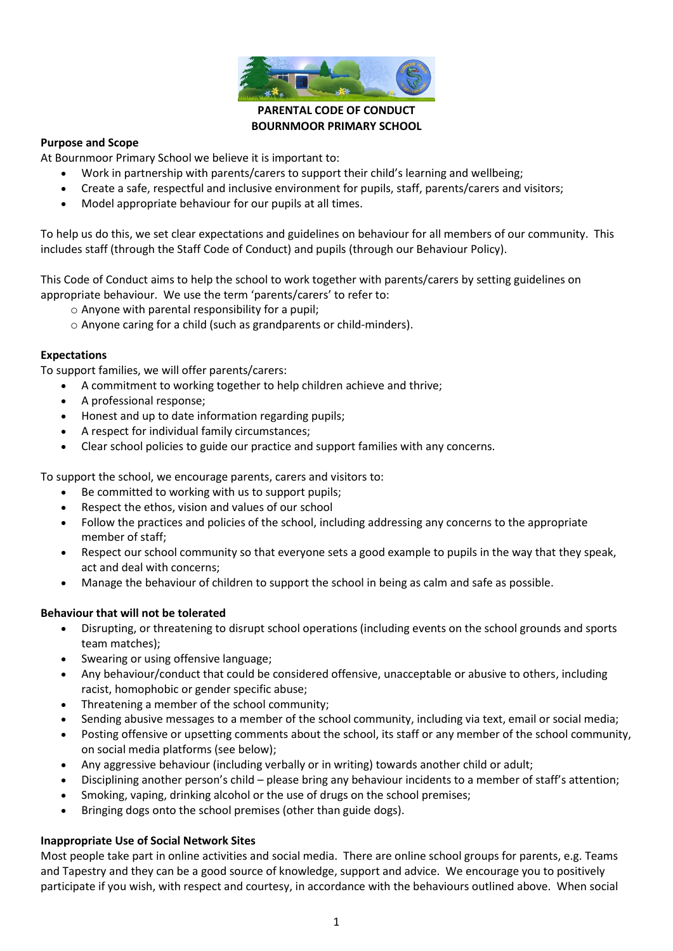

## **PARENTAL CODE OF CONDUCT BOURNMOOR PRIMARY SCHOOL**

## **Purpose and Scope**

At Bournmoor Primary School we believe it is important to:

- Work in partnership with parents/carers to support their child's learning and wellbeing;
- Create a safe, respectful and inclusive environment for pupils, staff, parents/carers and visitors;
- Model appropriate behaviour for our pupils at all times.

To help us do this, we set clear expectations and guidelines on behaviour for all members of our community. This includes staff (through the Staff Code of Conduct) and pupils (through our Behaviour Policy).

This Code of Conduct aims to help the school to work together with parents/carers by setting guidelines on appropriate behaviour. We use the term 'parents/carers' to refer to:

- o Anyone with parental responsibility for a pupil;
- o Anyone caring for a child (such as grandparents or child-minders).

## **Expectations**

To support families, we will offer parents/carers:

- A commitment to working together to help children achieve and thrive;
- A professional response;
- Honest and up to date information regarding pupils;
- A respect for individual family circumstances;
- Clear school policies to guide our practice and support families with any concerns.

To support the school, we encourage parents, carers and visitors to:

- Be committed to working with us to support pupils;
- Respect the ethos, vision and values of our school
- Follow the practices and policies of the school, including addressing any concerns to the appropriate member of staff;
- Respect our school community so that everyone sets a good example to pupils in the way that they speak, act and deal with concerns;
- Manage the behaviour of children to support the school in being as calm and safe as possible.

#### **Behaviour that will not be tolerated**

- Disrupting, or threatening to disrupt school operations (including events on the school grounds and sports team matches);
- Swearing or using offensive language;
- Any behaviour/conduct that could be considered offensive, unacceptable or abusive to others, including racist, homophobic or gender specific abuse;
- Threatening a member of the school community;
- Sending abusive messages to a member of the school community, including via text, email or social media;
- Posting offensive or upsetting comments about the school, its staff or any member of the school community, on social media platforms (see below);
- Any aggressive behaviour (including verbally or in writing) towards another child or adult;
- Disciplining another person's child please bring any behaviour incidents to a member of staff's attention;
- Smoking, vaping, drinking alcohol or the use of drugs on the school premises;
- Bringing dogs onto the school premises (other than guide dogs).

#### **Inappropriate Use of Social Network Sites**

Most people take part in online activities and social media. There are online school groups for parents, e.g. Teams and Tapestry and they can be a good source of knowledge, support and advice. We encourage you to positively participate if you wish, with respect and courtesy, in accordance with the behaviours outlined above. When social